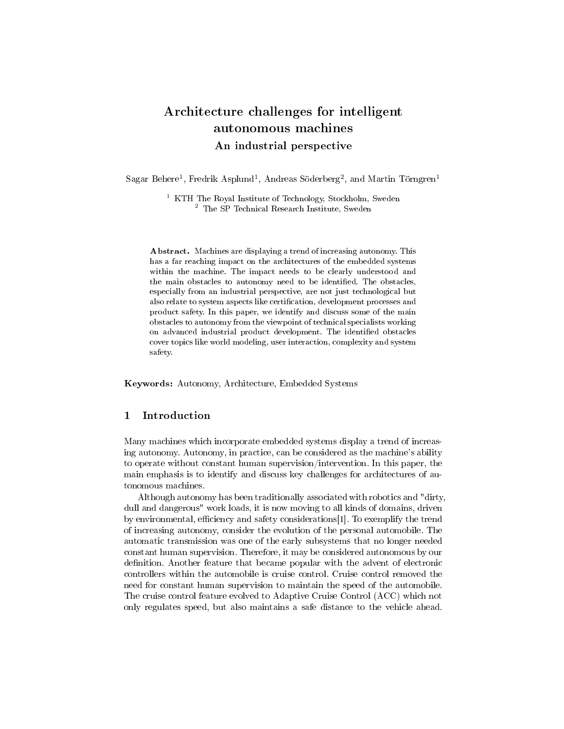# Architecture challenges for intelligent autonomous machines An industrial perspective

Sagar Behere<sup>1</sup>, Fredrik Asplund<sup>1</sup>, Andreas Söderberg<sup>2</sup>, and Martin Törngren<sup>1</sup>

<sup>1</sup> KTH The Royal Institute of Technology, Stockholm, Sweden <sup>2</sup> The SP Technical Research Institute, Sweden

Abstract. Machines are displaying a trend of increasing autonomy. This has a far reaching impact on the architectures of the embedded systems within the machine. The impact needs to be clearly understood and the main obstacles to autonomy need to be identified. The obstacles, especially from an industrial perspective, are not just technological but also relate to system aspects like certification, development processes and product safety. In this paper, we identify and discuss some of the main obstacles to autonomy from the viewpoint of technical specialists working on advanced industrial product development. The identified obstacles cover topics like world modeling, user interaction, complexity and system safety.

Keywords: Autonomy, Architecture, Embedded Systems

## 1 Introduction

Many machines which incorporate embedded systems display a trend of increasing autonomy. Autonomy, in practice, can be considered as the machine's ability to operate without constant human supervision/intervention. In this paper, the main emphasis is to identify and discuss key challenges for architectures of autonomous machines.

Although autonomy has been traditionally associated with robotics and "dirty, dull and dangerous" work loads, it is now moving to all kinds of domains, driven by environmental, efficiency and safety considerations [1]. To exemplify the trend of increasing autonomy, consider the evolution of the personal automobile. The automatic transmission was one of the early subsystems that no longer needed constant human supervision. Therefore, it may be considered autonomous by our definition. Another feature that became popular with the advent of electronic controllers within the automobile is cruise control. Cruise control removed the need for constant human supervision to maintain the speed of the automobile. The cruise control feature evolved to Adaptive Cruise Control (ACC) which not only regulates speed, but also maintains a safe distance to the vehicle ahead.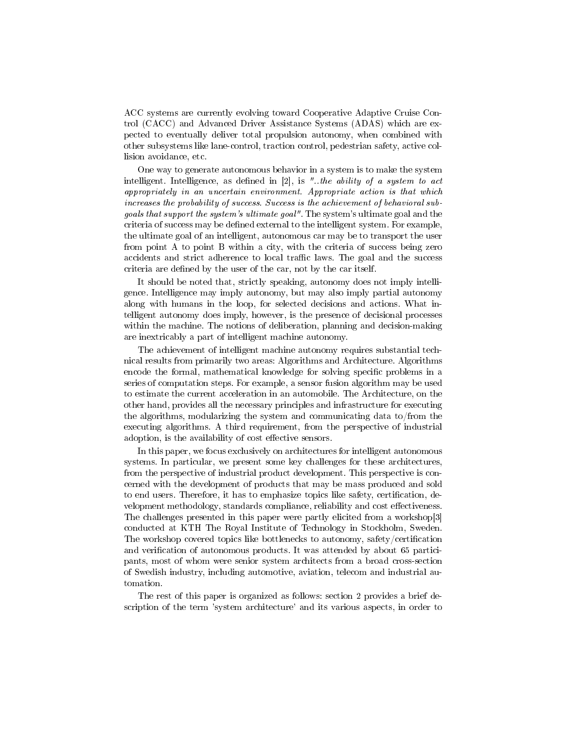ACC systems are currently evolving toward Cooperative Adaptive Cruise Control (CACC) and Advanced Driver Assistance Systems (ADAS) which are expected to eventually deliver total propulsion autonomy, when combined with other subsystems like lane-control, traction control, pedestrian safety, active collision avoidance, etc.

One way to generate autonomous behavior in a system is to make the system intelligent. Intelligence, as defined in  $[2]$ , is "..the ability of a system to act appropriately in an uncertain environment. Appropriate action is that which increases the probability of success. Success is the achievement of behavioral subgoals that support the system's ultimate goal". The system's ultimate goal and the criteria of success may be defined external to the intelligent system. For example, the ultimate goal of an intelligent, autonomous car may be to transport the user from point A to point B within a city, with the criteria of success being zero accidents and strict adherence to local traffic laws. The goal and the success criteria are defined by the user of the car, not by the car itself.

It should be noted that, strictly speaking, autonomy does not imply intelligence. Intelligence may imply autonomy, but may also imply partial autonomy along with humans in the loop, for selected decisions and actions. What intelligent autonomy does imply, however, is the presence of decisional processes within the machine. The notions of deliberation, planning and decision-making are inextricably a part of intelligent machine autonomy.

The achievement of intelligent machine autonomy requires substantial technical results from primarily two areas: Algorithms and Architecture. Algorithms encode the formal, mathematical knowledge for solving specific problems in a series of computation steps. For example, a sensor fusion algorithm may be used to estimate the current acceleration in an automobile. The Architecture, on the other hand, provides all the necessary principles and infrastructure for executing the algorithms, modularizing the system and communicating data to/from the executing algorithms. A third requirement, from the perspective of industrial adoption, is the availability of cost effective sensors.

In this paper, we focus exclusively on architectures for intelligent autonomous systems. In particular, we present some key challenges for these architectures, from the perspective of industrial product development. This perspective is concerned with the development of products that may be mass produced and sold to end users. Therefore, it has to emphasize topics like safety, certification, development methodology, standards compliance, reliability and cost effectiveness. The challenges presented in this paper were partly elicited from a workshop[3] conducted at KTH The Royal Institute of Technology in Stockholm, Sweden. The workshop covered topics like bottlenecks to autonomy, safety/certification and verification of autonomous products. It was attended by about 65 participants, most of whom were senior system architects from a broad cross-section of Swedish industry, including automotive, aviation, telecom and industrial automation.

The rest of this paper is organized as follows: section 2 provides a brief description of the term 'system architecture' and its various aspects, in order to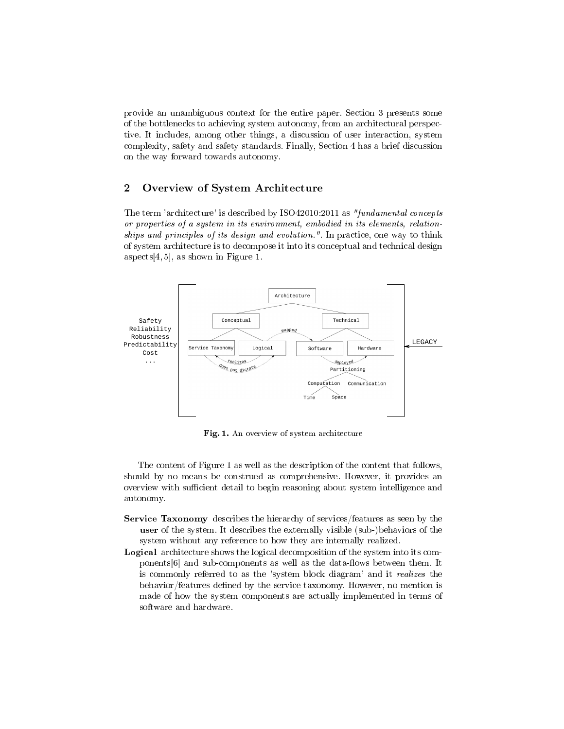provide an unambiguous context for the entire paper. Section 3 presents some of the bottlenecks to achieving system autonomy, from an architectural perspective. It includes, among other things, a discussion of user interaction, system complexity, safety and safety standards. Finally, Section 4 has a brief discussion on the way forward towards autonomy.

# 2 Overview of System Architecture

The term 'architecture' is described by ISO42010:2011 as "fundamental concepts or properties of a system in its environment, embodied in its elements, relationships and principles of its design and evolution.". In practice, one way to think of system architecture is to decompose it into its conceptual and technical design aspects[4, 5], as shown in Figure 1.



Fig. 1. An overview of system architecture

The content of Figure 1 as well as the description of the content that follows, should by no means be construed as comprehensive. However, it provides an overview with sufficient detail to begin reasoning about system intelligence and autonomy.

- Service Taxonomy describes the hierarchy of services/features as seen by the user of the system. It describes the externally visible (sub-)behaviors of the system without any reference to how they are internally realized.
- Logical architecture shows the logical decomposition of the system into its components $[6]$  and sub-components as well as the data-flows between them. It is commonly referred to as the 'system block diagram' and it realizes the behavior/features defined by the service taxonomy. However, no mention is made of how the system components are actually implemented in terms of software and hardware.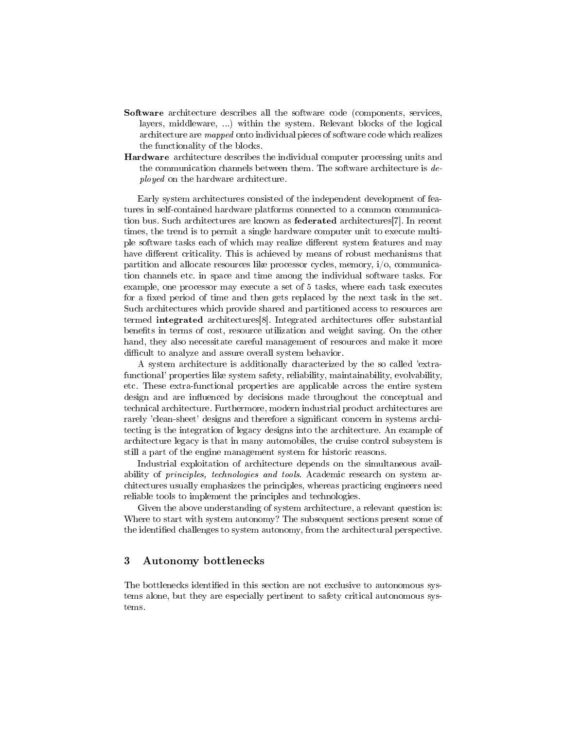- Software architecture describes all the software code (components, services, layers, middleware, ...) within the system. Relevant blocks of the logical architecture are mapped onto individual pieces of software code which realizes the functionality of the blocks.
- Hardware architecture describes the individual computer processing units and the communication channels between them. The software architecture is deployed on the hardware architecture.

Early system architectures consisted of the independent development of features in self-contained hardware platforms connected to a common communication bus. Such architectures are known as federated architectures[7]. In recent times, the trend is to permit a single hardware computer unit to execute multiple software tasks each of which may realize different system features and may have different criticality. This is achieved by means of robust mechanisms that partition and allocate resources like processor cycles, memory, i/o, communication channels etc. in space and time among the individual software tasks. For example, one processor may execute a set of 5 tasks, where each task executes for a fixed period of time and then gets replaced by the next task in the set. Such architectures which provide shared and partitioned access to resources are termed integrated architectures [8]. Integrated architectures offer substantial benefits in terms of cost, resource utilization and weight saving. On the other hand, they also necessitate careful management of resources and make it more difficult to analyze and assure overall system behavior.

A system architecture is additionally characterized by the so called 'extrafunctional' properties like system safety, reliability, maintainability, evolvability, etc. These extra-functional properties are applicable across the entire system design and are influenced by decisions made throughout the conceptual and technical architecture. Furthermore, modern industrial product architectures are rarely 'clean-sheet' designs and therefore a significant concern in systems architecting is the integration of legacy designs into the architecture. An example of architecture legacy is that in many automobiles, the cruise control subsystem is still a part of the engine management system for historic reasons.

Industrial exploitation of architecture depends on the simultaneous availability of principles, technologies and tools. Academic research on system architectures usually emphasizes the principles, whereas practicing engineers need reliable tools to implement the principles and technologies.

Given the above understanding of system architecture, a relevant question is: Where to start with system autonomy? The subsequent sections present some of the identified challenges to system autonomy, from the architectural perspective.

## 3 Autonomy bottlenecks

The bottlenecks identified in this section are not exclusive to autonomous systems alone, but they are especially pertinent to safety critical autonomous systems.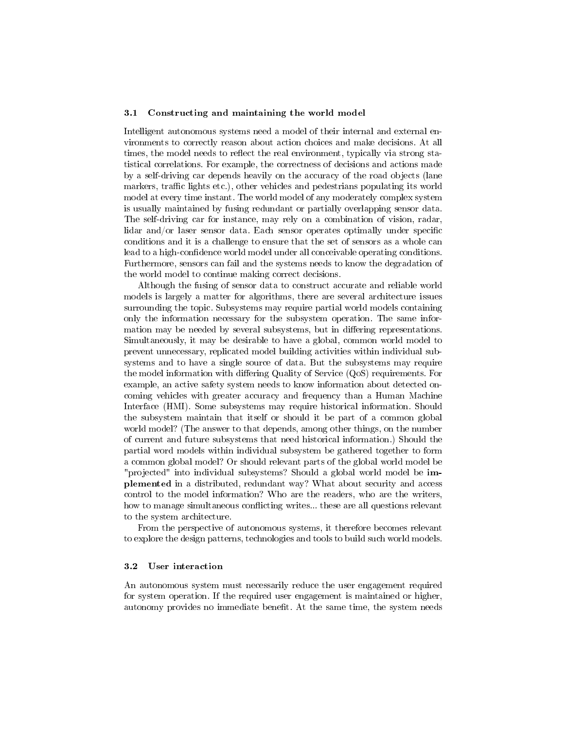#### 3.1 Constructing and maintaining the world model

Intelligent autonomous systems need a model of their internal and external environments to correctly reason about action choices and make decisions. At all times, the model needs to reflect the real environment, typically via strong statistical correlations. For example, the correctness of decisions and actions made by a self-driving car depends heavily on the accuracy of the road objects (lane markers, traffic lights etc.), other vehicles and pedestrians populating its world model at every time instant. The world model of any moderately complex system is usually maintained by fusing redundant or partially overlapping sensor data. The self-driving car for instance, may rely on a combination of vision, radar,  $\frac{1}{\text{data}}$  and/or laser sensor data. Each sensor operates optimally under specific conditions and it is a challenge to ensure that the set of sensors as a whole can lead to a high-confidence world model under all conceivable operating conditions. Furthermore, sensors can fail and the systems needs to know the degradation of the world model to continue making correct decisions.

Although the fusing of sensor data to construct accurate and reliable world models is largely a matter for algorithms, there are several architecture issues surrounding the topic. Subsystems may require partial world models containing only the information necessary for the subsystem operation. The same information may be needed by several subsystems, but in differing representations. Simultaneously, it may be desirable to have a global, common world model to prevent unnecessary, replicated model building activities within individual subsystems and to have a single source of data. But the subsystems may require the model information with differing Quality of Service  $(QoS)$  requirements. For example, an active safety system needs to know information about detected oncoming vehicles with greater accuracy and frequency than a Human Machine Interface (HMI). Some subsystems may require historical information. Should the subsystem maintain that itself or should it be part of a common global world model? (The answer to that depends, among other things, on the number of current and future subsystems that need historical information.) Should the partial word models within individual subsystem be gathered together to form a common global model? Or should relevant parts of the global world model be "projected" into individual subsystems? Should a global world model be implemented in a distributed, redundant way? What about security and access control to the model information? Who are the readers, who are the writers, how to manage simultaneous conflicting writes... these are all questions relevant to the system architecture.

From the perspective of autonomous systems, it therefore becomes relevant to explore the design patterns, technologies and tools to build such world models.

#### 3.2 User interaction

An autonomous system must necessarily reduce the user engagement required for system operation. If the required user engagement is maintained or higher, autonomy provides no immediate benet. At the same time, the system needs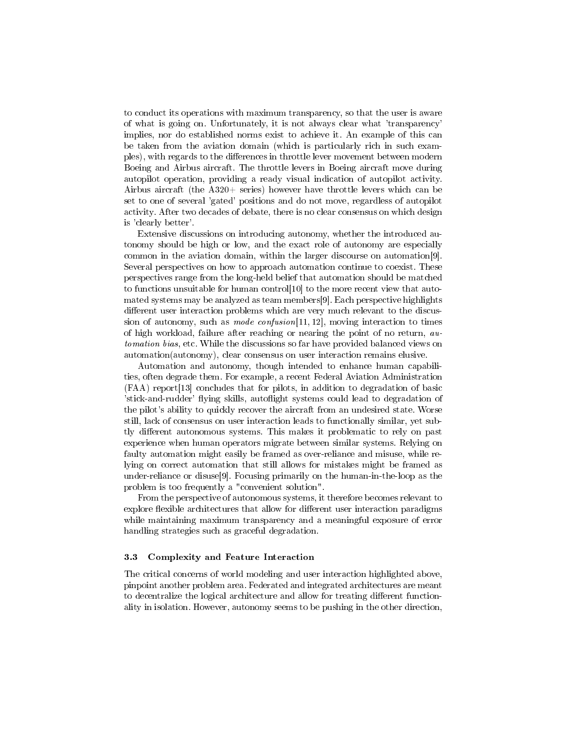to conduct its operations with maximum transparency, so that the user is aware of what is going on. Unfortunately, it is not always clear what 'transparency' implies, nor do established norms exist to achieve it. An example of this can be taken from the aviation domain (which is particularly rich in such examples), with regards to the differences in throttle lever movement between modern Boeing and Airbus aircraft. The throttle levers in Boeing aircraft move during autopilot operation, providing a ready visual indication of autopilot activity. Airbus aircraft (the A320+ series) however have throttle levers which can be set to one of several 'gated' positions and do not move, regardless of autopilot activity. After two decades of debate, there is no clear consensus on which design is 'clearly better'.

Extensive discussions on introducing autonomy, whether the introduced autonomy should be high or low, and the exact role of autonomy are especially common in the aviation domain, within the larger discourse on automation[9]. Several perspectives on how to approach automation continue to coexist. These perspectives range from the long-held belief that automation should be matched to functions unsuitable for human control[10] to the more recent view that automated systems may be analyzed as team members[9]. Each perspective highlights different user interaction problems which are very much relevant to the discussion of autonomy, such as *mode confusion*[11, 12], moving interaction to times of high workload, failure after reaching or nearing the point of no return, automation bias, etc. While the discussions so far have provided balanced views on automation(autonomy), clear consensus on user interaction remains elusive.

Automation and autonomy, though intended to enhance human capabilities, often degrade them. For example, a recent Federal Aviation Administration (FAA) report[13] concludes that for pilots, in addition to degradation of basic 'stick-and-rudder' flying skills, autoflight systems could lead to degradation of the pilot's ability to quickly recover the aircraft from an undesired state. Worse still, lack of consensus on user interaction leads to functionally similar, yet subtly different autonomous systems. This makes it problematic to rely on past experience when human operators migrate between similar systems. Relying on faulty automation might easily be framed as over-reliance and misuse, while relying on correct automation that still allows for mistakes might be framed as under-reliance or disuse[9]. Focusing primarily on the human-in-the-loop as the problem is too frequently a "convenient solution".

From the perspective of autonomous systems, it therefore becomes relevant to explore flexible architectures that allow for different user interaction paradigms while maintaining maximum transparency and a meaningful exposure of error handling strategies such as graceful degradation.

#### 3.3 Complexity and Feature Interaction

The critical concerns of world modeling and user interaction highlighted above, pinpoint another problem area. Federated and integrated architectures are meant to decentralize the logical architecture and allow for treating different functionality in isolation. However, autonomy seems to be pushing in the other direction,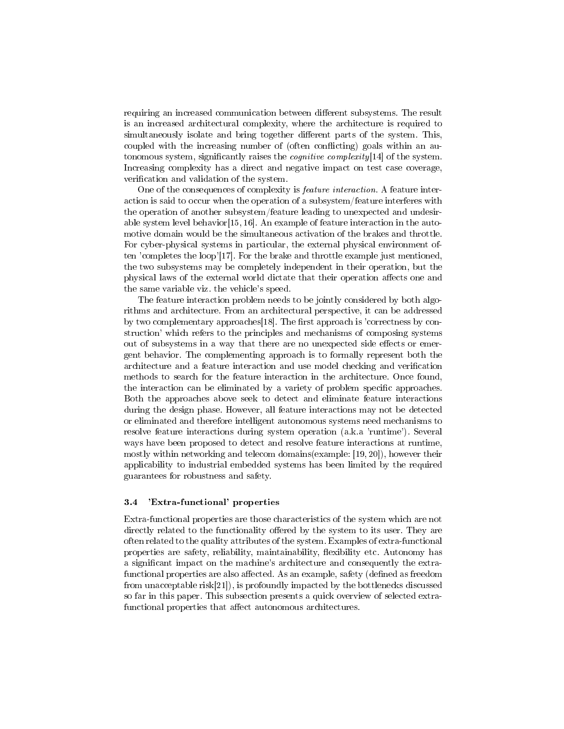requiring an increased communication between different subsystems. The result is an increased architectural complexity, where the architecture is required to simultaneously isolate and bring together different parts of the system. This, coupled with the increasing number of (often conflicting) goals within an autonomous system, significantly raises the *cognitive complexity*<sup>[14]</sup> of the system. Increasing complexity has a direct and negative impact on test case coverage, verification and validation of the system.

One of the consequences of complexity is feature interaction. A feature interaction is said to occur when the operation of a subsystem/feature interferes with the operation of another subsystem/feature leading to unexpected and undesirable system level behavior[15, 16]. An example of feature interaction in the automotive domain would be the simultaneous activation of the brakes and throttle. For cyber-physical systems in particular, the external physical environment often 'completes the loop'[17]. For the brake and throttle example just mentioned, the two subsystems may be completely independent in their operation, but the physical laws of the external world dictate that their operation affects one and the same variable viz. the vehicle's speed.

The feature interaction problem needs to be jointly considered by both algorithms and architecture. From an architectural perspective, it can be addressed by two complementary approaches[18]. The first approach is 'correctness by construction' which refers to the principles and mechanisms of composing systems out of subsystems in a way that there are no unexpected side effects or emergent behavior. The complementing approach is to formally represent both the architecture and a feature interaction and use model checking and verification methods to search for the feature interaction in the architecture. Once found, the interaction can be eliminated by a variety of problem specific approaches. Both the approaches above seek to detect and eliminate feature interactions during the design phase. However, all feature interactions may not be detected or eliminated and therefore intelligent autonomous systems need mechanisms to resolve feature interactions during system operation (a.k.a 'runtime'). Several ways have been proposed to detect and resolve feature interactions at runtime, mostly within networking and telecom domains(example: [19, 20]), however their applicability to industrial embedded systems has been limited by the required guarantees for robustness and safety.

#### 3.4 'Extra-functional' properties

Extra-functional properties are those characteristics of the system which are not directly related to the functionality offered by the system to its user. They are often related to the quality attributes of the system. Examples of extra-functional properties are safety, reliability, maintainability, flexibility etc. Autonomy has a signicant impact on the machine's architecture and consequently the extrafunctional properties are also affected. As an example, safety (defined as freedom from unacceptable risk[21]), is profoundly impacted by the bottlenecks discussed so far in this paper. This subsection presents a quick overview of selected extrafunctional properties that affect autonomous architectures.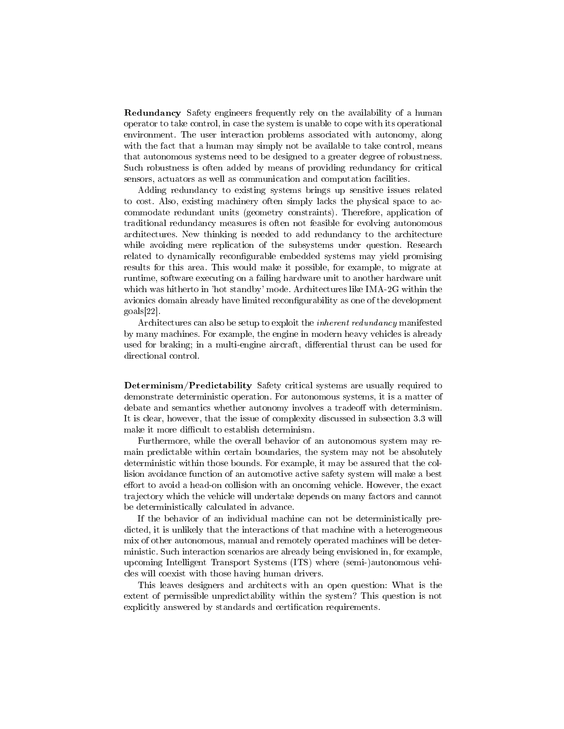Redundancy Safety engineers frequently rely on the availability of a human operator to take control, in case the system is unable to cope with its operational environment. The user interaction problems associated with autonomy, along with the fact that a human may simply not be available to take control, means that autonomous systems need to be designed to a greater degree of robustness. Such robustness is often added by means of providing redundancy for critical sensors, actuators as well as communication and computation facilities.

Adding redundancy to existing systems brings up sensitive issues related to cost. Also, existing machinery often simply lacks the physical space to accommodate redundant units (geometry constraints). Therefore, application of traditional redundancy measures is often not feasible for evolving autonomous architectures. New thinking is needed to add redundancy to the architecture while avoiding mere replication of the subsystems under question. Research related to dynamically reconfigurable embedded systems may yield promising results for this area. This would make it possible, for example, to migrate at runtime, software executing on a failing hardware unit to another hardware unit which was hitherto in 'hot standby' mode. Architectures like IMA-2G within the avionics domain already have limited reconfigurability as one of the development goals[22].

Architectures can also be setup to exploit the inherent redundancy manifested by many machines. For example, the engine in modern heavy vehicles is already used for braking; in a multi-engine aircraft, differential thrust can be used for directional control.

Determinism/Predictability Safety critical systems are usually required to demonstrate deterministic operation. For autonomous systems, it is a matter of debate and semantics whether autonomy involves a tradeoff with determinism. It is clear, however, that the issue of complexity discussed in subsection 3.3 will make it more difficult to establish determinism.

Furthermore, while the overall behavior of an autonomous system may remain predictable within certain boundaries, the system may not be absolutely deterministic within those bounds. For example, it may be assured that the collision avoidance function of an automotive active safety system will make a best effort to avoid a head-on collision with an oncoming vehicle. However, the exact trajectory which the vehicle will undertake depends on many factors and cannot be deterministically calculated in advance.

If the behavior of an individual machine can not be deterministically predicted, it is unlikely that the interactions of that machine with a heterogeneous mix of other autonomous, manual and remotely operated machines will be deterministic. Such interaction scenarios are already being envisioned in, for example, upcoming Intelligent Transport Systems (ITS) where (semi-)autonomous vehicles will coexist with those having human drivers.

This leaves designers and architects with an open question: What is the extent of permissible unpredictability within the system? This question is not explicitly answered by standards and certification requirements.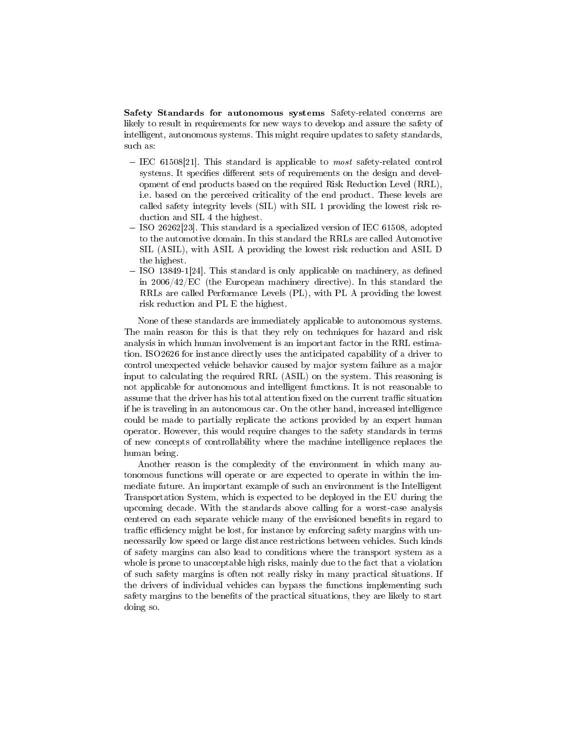Safety Standards for autonomous systems Safety-related concerns are likely to result in requirements for new ways to develop and assure the safety of intelligent, autonomous systems. This might require updates to safety standards, such as:

- $-$  IEC 61508[21]. This standard is applicable to most safety-related control systems. It specifies different sets of requirements on the design and development of end products based on the required Risk Reduction Level (RRL), i.e. based on the perceived criticality of the end product. These levels are called safety integrity levels (SIL) with SIL 1 providing the lowest risk reduction and SIL 4 the highest.
- ISO 26262[23]. This standard is a specialized version of IEC 61508, adopted to the automotive domain. In this standard the RRLs are called Automotive SIL (ASIL), with ASIL A providing the lowest risk reduction and ASIL D the highest.
- $-$  ISO 13849-1[24]. This standard is only applicable on machinery, as defined in 2006/42/EC (the European machinery directive). In this standard the RRLs are called Performance Levels (PL), with PL A providing the lowest risk reduction and PL E the highest.

None of these standards are immediately applicable to autonomous systems. The main reason for this is that they rely on techniques for hazard and risk analysis in which human involvement is an important factor in the RRL estimation. ISO2626 for instance directly uses the anticipated capability of a driver to control unexpected vehicle behavior caused by major system failure as a major input to calculating the required RRL (ASIL) on the system. This reasoning is not applicable for autonomous and intelligent functions. It is not reasonable to assume that the driver has his total attention fixed on the current traffic situation if he is traveling in an autonomous car. On the other hand, increased intelligence could be made to partially replicate the actions provided by an expert human operator. However, this would require changes to the safety standards in terms of new concepts of controllability where the machine intelligence replaces the human being.

Another reason is the complexity of the environment in which many autonomous functions will operate or are expected to operate in within the immediate future. An important example of such an environment is the Intelligent Transportation System, which is expected to be deployed in the EU during the upcoming decade. With the standards above calling for a worst-case analysis centered on each separate vehicle many of the envisioned benefits in regard to traffic efficiency might be lost, for instance by enforcing safety margins with unnecessarily low speed or large distance restrictions between vehicles. Such kinds of safety margins can also lead to conditions where the transport system as a whole is prone to unacceptable high risks, mainly due to the fact that a violation of such safety margins is often not really risky in many practical situations. If the drivers of individual vehicles can bypass the functions implementing such safety margins to the benefits of the practical situations, they are likely to start doing so.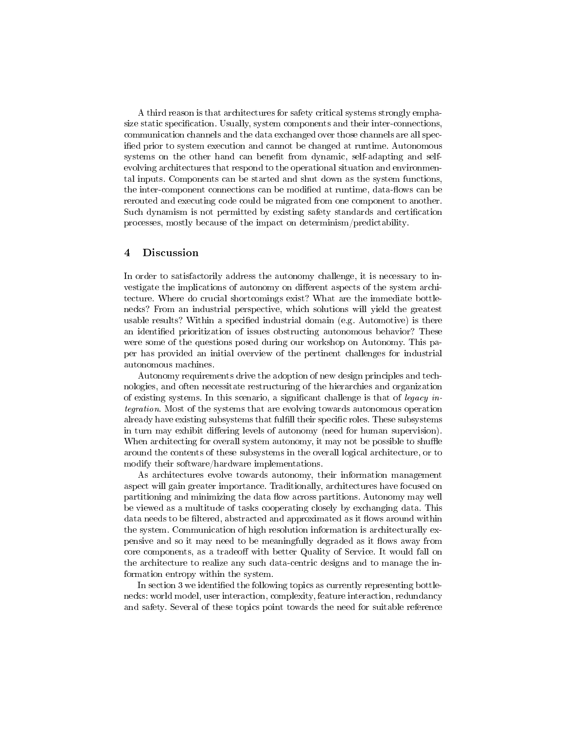A third reason is that architectures for safety critical systems strongly emphasize static specification. Usually, system components and their inter-connections, communication channels and the data exchanged over those channels are all specified prior to system execution and cannot be changed at runtime. Autonomous systems on the other hand can benefit from dynamic, self-adapting and selfevolving architectures that respond to the operational situation and environmental inputs. Components can be started and shut down as the system functions, the inter-component connections can be modified at runtime, data-flows can be rerouted and executing code could be migrated from one component to another. Such dynamism is not permitted by existing safety standards and certification processes, mostly because of the impact on determinism/predictability.

## 4 Discussion

In order to satisfactorily address the autonomy challenge, it is necessary to investigate the implications of autonomy on different aspects of the system architecture. Where do crucial shortcomings exist? What are the immediate bottlenecks? From an industrial perspective, which solutions will yield the greatest usable results? Within a specified industrial domain (e.g. Automotive) is there an identified prioritization of issues obstructing autonomous behavior? These were some of the questions posed during our workshop on Autonomy. This paper has provided an initial overview of the pertinent challenges for industrial autonomous machines.

Autonomy requirements drive the adoption of new design principles and technologies, and often necessitate restructuring of the hierarchies and organization of existing systems. In this scenario, a significant challenge is that of *legacy* integration. Most of the systems that are evolving towards autonomous operation already have existing subsystems that fulfill their specific roles. These subsystems in turn may exhibit differing levels of autonomy (need for human supervision). When architecting for overall system autonomy, it may not be possible to shuffle around the contents of these subsystems in the overall logical architecture, or to modify their software/hardware implementations.

As architectures evolve towards autonomy, their information management aspect will gain greater importance. Traditionally, architectures have focused on partitioning and minimizing the data flow across partitions. Autonomy may well be viewed as a multitude of tasks cooperating closely by exchanging data. This data needs to be filtered, abstracted and approximated as it flows around within the system. Communication of high resolution information is architecturally expensive and so it may need to be meaningfully degraded as it flows away from core components, as a tradeoff with better Quality of Service. It would fall on the architecture to realize any such data-centric designs and to manage the information entropy within the system.

In section 3 we identified the following topics as currently representing bottlenecks: world model, user interaction, complexity, feature interaction, redundancy and safety. Several of these topics point towards the need for suitable reference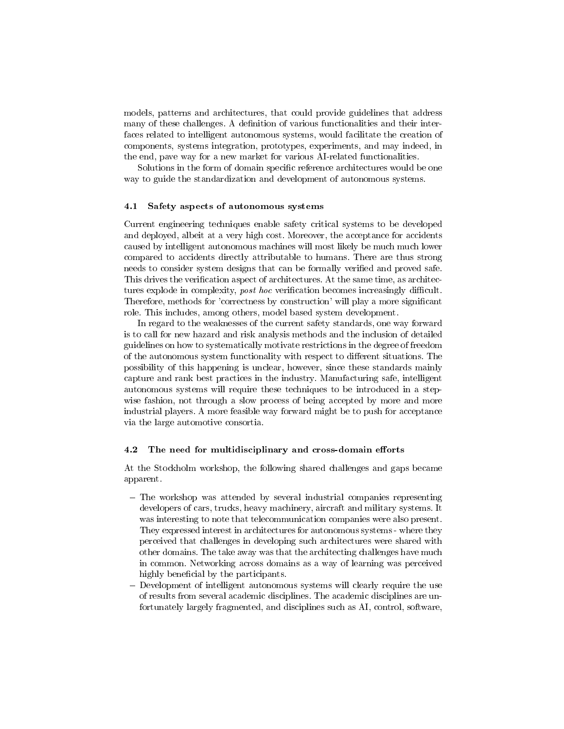models, patterns and architectures, that could provide guidelines that address many of these challenges. A definition of various functionalities and their interfaces related to intelligent autonomous systems, would facilitate the creation of components, systems integration, prototypes, experiments, and may indeed, in the end, pave way for a new market for various AI-related functionalities.

Solutions in the form of domain specific reference architectures would be one way to guide the standardization and development of autonomous systems.

#### 4.1 Safety aspects of autonomous systems

Current engineering techniques enable safety critical systems to be developed and deployed, albeit at a very high cost. Moreover, the acceptance for accidents caused by intelligent autonomous machines will most likely be much much lower compared to accidents directly attributable to humans. There are thus strong needs to consider system designs that can be formally verified and proved safe. This drives the verification aspect of architectures. At the same time, as architectures explode in complexity, post hoc verification becomes increasingly difficult. Therefore, methods for 'correctness by construction' will play a more signicant role. This includes, among others, model based system development.

In regard to the weaknesses of the current safety standards, one way forward is to call for new hazard and risk analysis methods and the inclusion of detailed guidelines on how to systematically motivate restrictions in the degree of freedom of the autonomous system functionality with respect to different situations. The possibility of this happening is unclear, however, since these standards mainly capture and rank best practices in the industry. Manufacturing safe, intelligent autonomous systems will require these techniques to be introduced in a stepwise fashion, not through a slow process of being accepted by more and more industrial players. A more feasible way forward might be to push for acceptance via the large automotive consortia.

#### 4.2 The need for multidisciplinary and cross-domain efforts

At the Stockholm workshop, the following shared challenges and gaps became apparent.

- $-$  The workshop was attended by several industrial companies representing developers of cars, trucks, heavy machinery, aircraft and military systems. It was interesting to note that telecommunication companies were also present. They expressed interest in architectures for autonomous systems - where they perceived that challenges in developing such architectures were shared with other domains. The take away was that the architecting challenges have much in common. Networking across domains as a way of learning was perceived highly beneficial by the participants.
- Development of intelligent autonomous systems will clearly require the use of results from several academic disciplines. The academic disciplines are unfortunately largely fragmented, and disciplines such as AI, control, software,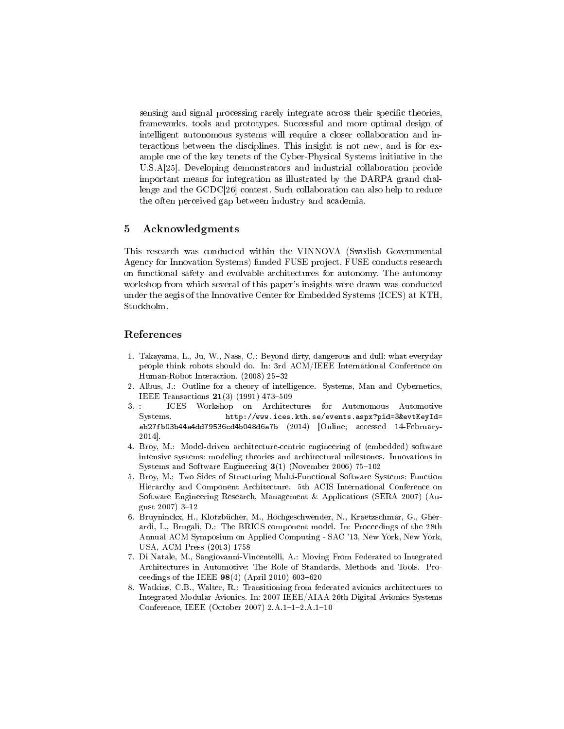sensing and signal processing rarely integrate across their specific theories, frameworks, tools and prototypes. Successful and more optimal design of intelligent autonomous systems will require a closer collaboration and interactions between the disciplines. This insight is not new, and is for example one of the key tenets of the Cyber-Physical Systems initiative in the U.S.A[25]. Developing demonstrators and industrial collaboration provide important means for integration as illustrated by the DARPA grand challenge and the GCDC[26] contest. Such collaboration can also help to reduce the often perceived gap between industry and academia.

## 5 Acknowledgments

This research was conducted within the VINNOVA (Swedish Governmental Agency for Innovation Systems) funded FUSE project. FUSE conducts research on functional safety and evolvable architectures for autonomy. The autonomy workshop from which several of this paper's insights were drawn was conducted under the aegis of the Innovative Center for Embedded Systems (ICES) at KTH, Stockholm.

## References

- 1. Takayama, L., Ju, W., Nass, C.: Beyond dirty, dangerous and dull: what everyday people think robots should do. In: 3rd ACM/IEEE International Conference on Human-Robot Interaction. (2008) 25-32
- 2. Albus, J.: Outline for a theory of intelligence. Systems, Man and Cybernetics, IEEE Transactions  $21(3)$  (1991) 473-509
- 3. : ICES Workshop on Architectures for Autonomous Automotive Systems. http://www.ices.kth.se/events.aspx?pid=3&evtKeyId= ab27fb03b44a4dd79536cd4b048d6a7b (2014) [Online; accessed 14-February-2014].
- 4. Broy, M.: Model-driven architecture-centric engineering of (embedded) software intensive systems: modeling theories and architectural milestones. Innovations in Systems and Software Engineering  $3(1)$  (November 2006) 75-102
- 5. Broy, M.: Two Sides of Structuring Multi-Functional Software Systems: Function Hierarchy and Component Architecture. 5th ACIS International Conference on Software Engineering Research, Management & Applications (SERA 2007) (August 2007) 3-12
- 6. Bruyninckx, H., Klotzbücher, M., Hochgeschwender, N., Kraetzschmar, G., Gherardi, L., Brugali, D.: The BRICS component model. In: Proceedings of the 28th Annual ACM Symposium on Applied Computing - SAC '13, New York, New York, USA, ACM Press (2013) 1758
- 7. Di Natale, M., Sangiovanni-Vincentelli, A.: Moving From Federated to Integrated Architectures in Automotive: The Role of Standards, Methods and Tools. Proceedings of the IEEE  $98(4)$  (April 2010) 603-620
- 8. Watkins, C.B., Walter, R.: Transitioning from federated avionics architectures to Integrated Modular Avionics. In: 2007 IEEE/AIAA 26th Digital Avionics Systems Conference, IEEE (October 2007)  $2.A.1-1-2.A.1-10$